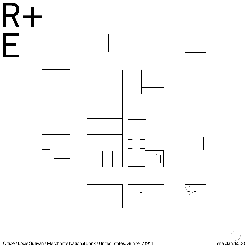









|  | Office / Louis Sullivan / Merchant's National Bank / United States, Grinnell / 1914 |
|--|-------------------------------------------------------------------------------------|

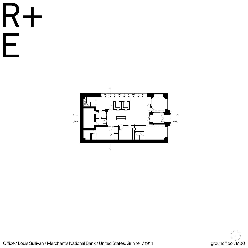

|  |  | Office / Louis Sullivan / Merchant's National Bank / United States, Grinnell / 1914 |  |
|--|--|-------------------------------------------------------------------------------------|--|
|--|--|-------------------------------------------------------------------------------------|--|









ground floor, 1:100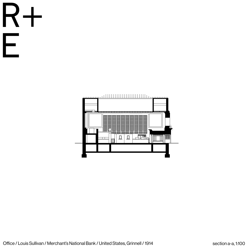





|  | Office / Louis Sullivan / Merchant's National Bank / United States, Grinnell / 1914 |
|--|-------------------------------------------------------------------------------------|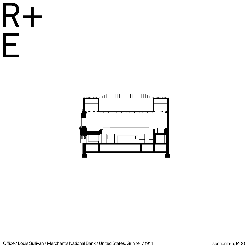





|  |  | Office / Louis Sullivan / Merchant's National Bank / United States, Grinnell / 1914 |  |
|--|--|-------------------------------------------------------------------------------------|--|
|--|--|-------------------------------------------------------------------------------------|--|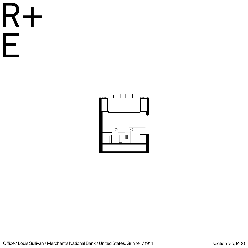





| Office / Louis Sullivan / Merchant's National Bank / United States, Grinnell / 1914 |  |  |
|-------------------------------------------------------------------------------------|--|--|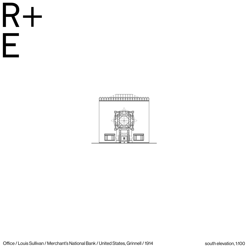



| Office / Louis Sullivan / Merchant's National Bank / United States, Grinnell / 1914 |  |  |  |  |  |  |  |  |  |
|-------------------------------------------------------------------------------------|--|--|--|--|--|--|--|--|--|
|-------------------------------------------------------------------------------------|--|--|--|--|--|--|--|--|--|